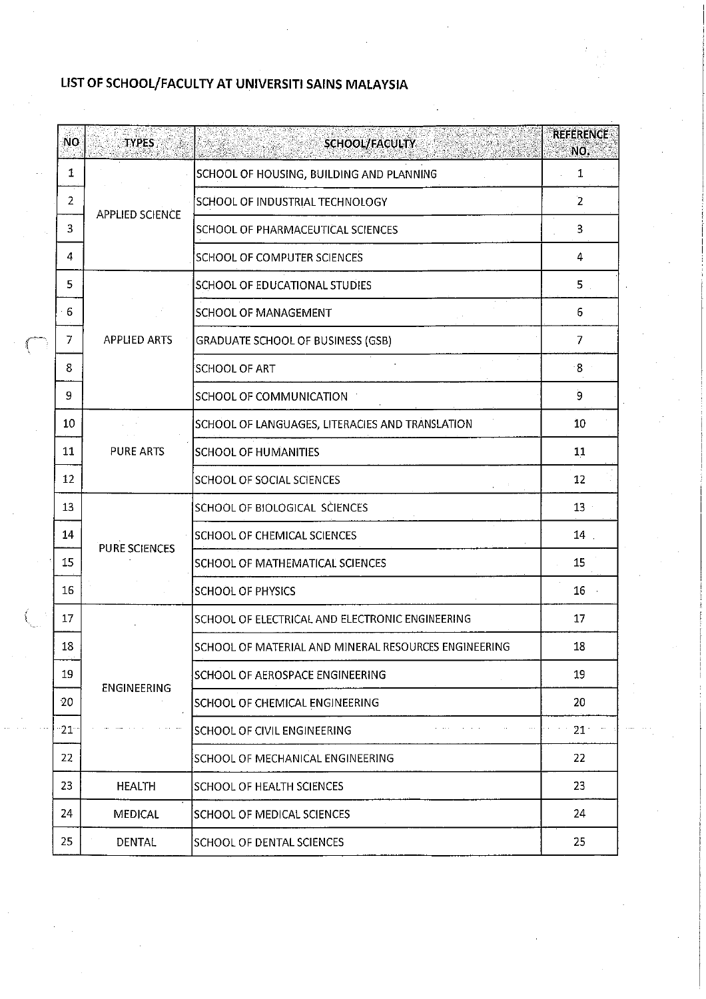## LIST OF SCHOOL/FACULTY AT UNIVERSITI SAINS MALAYSIA

| <b>NO</b>    | <b>TYPES</b>           | <b>SCHOOL/FACULTY</b>                                | <b>REFERENCE</b><br>NO. |
|--------------|------------------------|------------------------------------------------------|-------------------------|
| 1            |                        | SCHOOL OF HOUSING, BUILDING AND PLANNING             | 1                       |
| 2            |                        | SCHOOL OF INDUSTRIAL TECHNOLOGY                      | $\overline{2}$          |
| 3            | <b>APPLIED SCIENCE</b> | SCHOOL OF PHARMACEUTICAL SCIENCES                    | 3                       |
| 4            |                        | SCHOOL OF COMPUTER SCIENCES                          | 4                       |
| 5            |                        | SCHOOL OF EDUCATIONAL STUDIES                        | 5.                      |
| 6            |                        | <b>SCHOOL OF MANAGEMENT</b>                          | 6                       |
| 7            | <b>APPLIED ARTS</b>    | <b>GRADUATE SCHOOL OF BUSINESS (GSB)</b>             | 7                       |
| 8            |                        | SCHOOL OF ART                                        | $8^{\circ}$             |
| 9            |                        | SCHOOL OF COMMUNICATION                              | 9                       |
| 10           |                        | SCHOOL OF LANGUAGES, LITERACIES AND TRANSLATION      | 10                      |
| 11           | <b>PURE ARTS</b>       | <b>SCHOOL OF HUMANITIES</b>                          | 11                      |
| 12           |                        | SCHOOL OF SOCIAL SCIENCES                            | 12                      |
| 13           |                        | SCHOOL OF BIOLOGICAL SCIENCES                        | 13                      |
| 14           | PURE SCIENCES          | SCHOOL OF CHEMICAL SCIENCES                          | 14                      |
| 15           |                        | SCHOOL OF MATHEMATICAL SCIENCES                      | 15                      |
| 16           |                        | <b>SCHOOL OF PHYSICS</b>                             | 16                      |
| 17           |                        | SCHOOL OF ELECTRICAL AND ELECTRONIC ENGINEERING      | 17                      |
| 18           |                        | SCHOOL OF MATERIAL AND MINERAL RESOURCES ENGINEERING | 18                      |
| 19           |                        | SCHOOL OF AEROSPACE ENGINEERING                      | 19                      |
| 20           | <b>ENGINEERING</b>     | SCHOOL OF CHEMICAL ENGINEERING                       | 20                      |
| $21^{\circ}$ |                        | SCHOOL OF CIVIL ENGINEERING                          | 21 <sup>2</sup>         |
| 22           |                        | SCHOOL OF MECHANICAL ENGINEERING                     | 22                      |
| 23           | <b>HEALTH</b>          | SCHOOL OF HEALTH SCIENCES                            | 23                      |
| 24           | <b>MEDICAL</b>         | SCHOOL OF MEDICAL SCIENCES                           | 24                      |
| 25           | DENTAL                 | SCHOOL OF DENTAL SCIENCES                            | 25                      |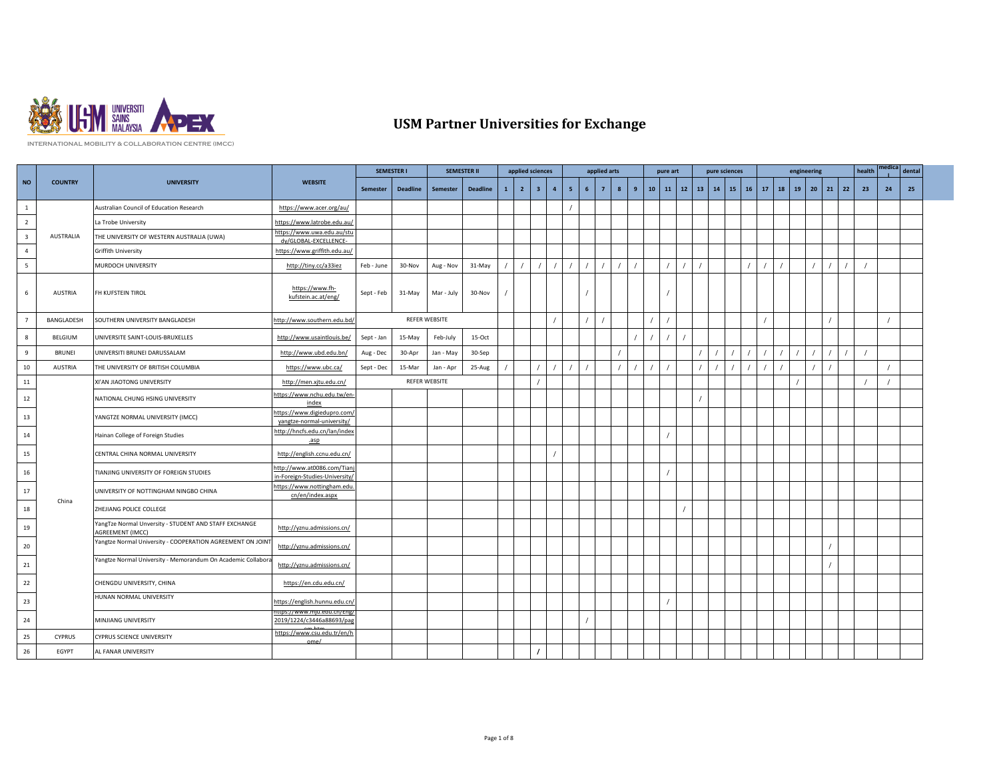

## **USM Partner Universities for Exchange**

**INTERNATIONAL MOBILITY & COLLABORATION CENTRE (IMCC)**

|                          |                   |                                                                           |                                                              |                 | <b>SEMESTER I</b> |                      | <b>SEMESTER II</b> |              | applied sciences |                |                |                |   | applied arts   |   |   |         | pure art     |    |    | pure sciences |              |    |    | engineering |              |    | health |    | dental |  |
|--------------------------|-------------------|---------------------------------------------------------------------------|--------------------------------------------------------------|-----------------|-------------------|----------------------|--------------------|--------------|------------------|----------------|----------------|----------------|---|----------------|---|---|---------|--------------|----|----|---------------|--------------|----|----|-------------|--------------|----|--------|----|--------|--|
| <b>NO</b>                | <b>COUNTRY</b>    | <b>UNIVERSITY</b>                                                         | <b>WEBSITE</b>                                               | <b>Semester</b> | <b>Deadline</b>   | Semester             | <b>Deadline</b>    | $\mathbf{1}$ | $\overline{2}$   | 3 <sup>2</sup> | $\overline{4}$ | 5 <sup>2</sup> | 6 | $\overline{7}$ | 8 | 9 | $10-10$ | $11 \mid 12$ | 13 | 14 |               | $15 \mid 16$ | 17 | 18 | 19          | $20 \mid 21$ | 22 | 23     | 24 | 25     |  |
| $\,$ 1                   |                   | Australian Council of Education Research                                  | https://www.acer.org/au/                                     |                 |                   |                      |                    |              |                  |                |                |                |   |                |   |   |         |              |    |    |               |              |    |    |             |              |    |        |    |        |  |
| $\overline{2}$           |                   | La Trobe University                                                       | https://www.latrobe.edu.au/                                  |                 |                   |                      |                    |              |                  |                |                |                |   |                |   |   |         |              |    |    |               |              |    |    |             |              |    |        |    |        |  |
| $\overline{\mathbf{3}}$  | AUSTRALIA         | THE UNIVERSITY OF WESTERN AUSTRALIA (UWA)                                 | https://www.uwa.edu.au/stu<br>dv/GLOBAL-EXCELLENCE-          |                 |                   |                      |                    |              |                  |                |                |                |   |                |   |   |         |              |    |    |               |              |    |    |             |              |    |        |    |        |  |
| $\overline{4}$           |                   | Griffith University                                                       | https://www.griffith.edu.au/                                 |                 |                   |                      |                    |              |                  |                |                |                |   |                |   |   |         |              |    |    |               |              |    |    |             |              |    |        |    |        |  |
| $\overline{\phantom{0}}$ |                   | MURDOCH UNIVERSITY                                                        | http://tiny.cc/a33iez                                        | Feb - June      | 30-Nov            | Aug - Nov            | 31-May             |              |                  |                |                |                |   |                |   |   |         |              |    |    |               |              |    |    |             |              |    |        |    |        |  |
| 6                        | <b>AUSTRIA</b>    | FH KUFSTEIN TIROL                                                         | https://www.fh-<br>kufstein.ac.at/eng/                       | Sept - Feb      | 31-May            | Mar - July           | 30-Nov             |              |                  |                |                |                |   |                |   |   |         |              |    |    |               |              |    |    |             |              |    |        |    |        |  |
| $\overline{7}$           | <b>BANGLADESH</b> | SOUTHERN UNIVERSITY BANGLADESH                                            | http://www.southern.edu.bd                                   |                 |                   | REFER WEBSITE        |                    |              |                  |                |                |                |   |                |   |   |         |              |    |    |               |              |    |    |             |              |    |        |    |        |  |
| $\boldsymbol{8}$         | <b>BELGIUM</b>    | UNIVERSITE SAINT-LOUIS-BRUXELLES                                          | http://www.usaintlouis.be/                                   | Sept - Jan      | 15-May            | Feb-July             | 15-Oct             |              |                  |                |                |                |   |                |   |   |         |              |    |    |               |              |    |    |             |              |    |        |    |        |  |
| 9                        | <b>BRUNEI</b>     | UNIVERSITI BRUNEI DARUSSALAM                                              | http://www.ubd.edu.bn/                                       | Aug - Dec       | 30-Apr            | Jan - May            | 30-Sep             |              |                  |                |                |                |   |                |   |   |         |              |    |    |               |              |    |    |             |              |    |        |    |        |  |
| $10\,$                   | <b>AUSTRIA</b>    | THE UNIVERSITY OF BRITISH COLUMBIA                                        | https://www.ubc.ca/                                          | Sept - Dec      | 15-Mar            | Jan - Apr            | 25-Aug             |              |                  |                |                |                |   |                |   |   |         |              |    |    |               |              |    |    |             |              |    |        |    |        |  |
| ${\bf 11}$               |                   | XI'AN JIAOTONG UNIVERSITY                                                 | http://men.xjtu.edu.cn/                                      |                 |                   | <b>REFER WEBSITE</b> |                    |              |                  |                |                |                |   |                |   |   |         |              |    |    |               |              |    |    |             |              |    |        |    |        |  |
| $12\,$                   |                   | NATIONAL CHUNG HSING UNIVERSITY                                           | https://www.nchu.edu.tw/en-<br>index                         |                 |                   |                      |                    |              |                  |                |                |                |   |                |   |   |         |              |    |    |               |              |    |    |             |              |    |        |    |        |  |
| 13                       |                   | YANGTZE NORMAL UNIVERSITY (IMCC)                                          | https://www.digiedupro.com/<br>yangtze-normal-university/    |                 |                   |                      |                    |              |                  |                |                |                |   |                |   |   |         |              |    |    |               |              |    |    |             |              |    |        |    |        |  |
| 14                       |                   | Hainan College of Foreign Studies                                         | http://hncfs.edu.cn/lan/index<br>.asp                        |                 |                   |                      |                    |              |                  |                |                |                |   |                |   |   |         |              |    |    |               |              |    |    |             |              |    |        |    |        |  |
| 15                       |                   | CENTRAL CHINA NORMAL UNIVERSITY                                           | http://english.ccnu.edu.cn/                                  |                 |                   |                      |                    |              |                  |                |                |                |   |                |   |   |         |              |    |    |               |              |    |    |             |              |    |        |    |        |  |
| $16\,$                   |                   | TIANJING UNIVERSITY OF FOREIGN STUDIES                                    | http://www.at0086.com/Tian<br>in-Foreign-Studies-University, |                 |                   |                      |                    |              |                  |                |                |                |   |                |   |   |         |              |    |    |               |              |    |    |             |              |    |        |    |        |  |
| 17                       |                   | UNIVERSITY OF NOTTINGHAM NINGBO CHINA                                     | https://www.nottingham.edu.<br>cn/en/index.aspx              |                 |                   |                      |                    |              |                  |                |                |                |   |                |   |   |         |              |    |    |               |              |    |    |             |              |    |        |    |        |  |
| 18                       | China             | ZHEJIANG POLICE COLLEGE                                                   |                                                              |                 |                   |                      |                    |              |                  |                |                |                |   |                |   |   |         |              |    |    |               |              |    |    |             |              |    |        |    |        |  |
| 19                       |                   | YangTze Normal Unversity - STUDENT AND STAFF EXCHANGE<br>AGREEMENT (IMCC) | http://yznu.admissions.cn/                                   |                 |                   |                      |                    |              |                  |                |                |                |   |                |   |   |         |              |    |    |               |              |    |    |             |              |    |        |    |        |  |
| 20                       |                   | Yangtze Normal University - COOPERATION AGREEMENT ON JOIN                 | http://yznu.admissions.cn/                                   |                 |                   |                      |                    |              |                  |                |                |                |   |                |   |   |         |              |    |    |               |              |    |    |             |              |    |        |    |        |  |
| 21                       |                   | Yangtze Normal University - Memorandum On Academic Collabora              | http://yznu.admissions.cn/                                   |                 |                   |                      |                    |              |                  |                |                |                |   |                |   |   |         |              |    |    |               |              |    |    |             |              |    |        |    |        |  |
| 22                       |                   | CHENGDU UNIVERSITY, CHINA                                                 | https://en.cdu.edu.cn/                                       |                 |                   |                      |                    |              |                  |                |                |                |   |                |   |   |         |              |    |    |               |              |    |    |             |              |    |        |    |        |  |
| 23                       |                   | HUNAN NORMAL UNIVERSITY                                                   | https://english.hunnu.edu.cn                                 |                 |                   |                      |                    |              |                  |                |                |                |   |                |   |   |         |              |    |    |               |              |    |    |             |              |    |        |    |        |  |
| 24                       |                   | MINJIANG UNIVERSITY                                                       | 2019/1224/c3446a88693/pag                                    |                 |                   |                      |                    |              |                  |                |                |                |   |                |   |   |         |              |    |    |               |              |    |    |             |              |    |        |    |        |  |
| 25                       | <b>CYPRUS</b>     | CYPRUS SCIENCE UNIVERSITY                                                 | https://www.csu.edu.tr/en/h<br>ome/                          |                 |                   |                      |                    |              |                  |                |                |                |   |                |   |   |         |              |    |    |               |              |    |    |             |              |    |        |    |        |  |
| 26                       | EGYPT             | AL FANAR UNIVERSITY                                                       |                                                              |                 |                   |                      |                    |              |                  |                |                |                |   |                |   |   |         |              |    |    |               |              |    |    |             |              |    |        |    |        |  |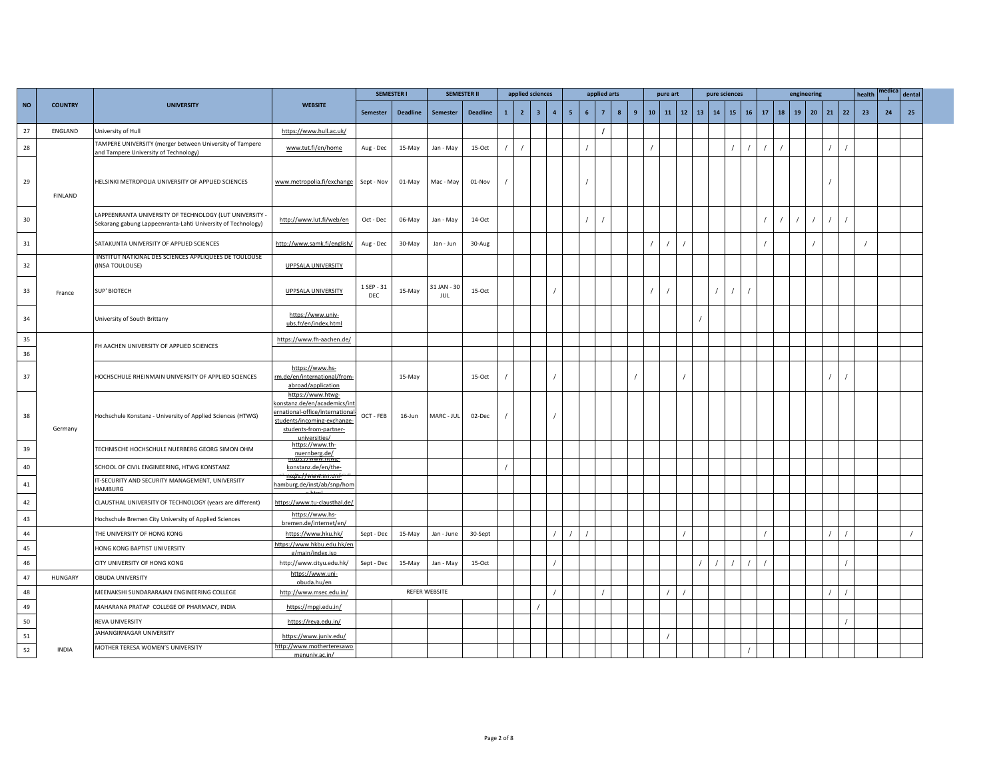|           |                |                                                                                                                         |                                                                                                                                                               |                          | <b>SEMESTER I</b> |                    | <b>SEMESTER II</b> |              | applied sciences |                         |                         |                |   | applied arts   |                  |   |    | pure art   |    |              | pure sciences |    |          |    |    | engineering |           |    |    | health | medica | dental |  |
|-----------|----------------|-------------------------------------------------------------------------------------------------------------------------|---------------------------------------------------------------------------------------------------------------------------------------------------------------|--------------------------|-------------------|--------------------|--------------------|--------------|------------------|-------------------------|-------------------------|----------------|---|----------------|------------------|---|----|------------|----|--------------|---------------|----|----------|----|----|-------------|-----------|----|----|--------|--------|--------|--|
| <b>NO</b> | <b>COUNTRY</b> | <b>UNIVERSITY</b>                                                                                                       | <b>WEBSITE</b>                                                                                                                                                | Semester                 | <b>Deadline</b>   | <b>Semester</b>    | <b>Deadline</b>    | $\mathbf{1}$ | $\overline{2}$   | $\overline{\mathbf{3}}$ | $\overline{\mathbf{4}}$ | 5 <sub>1</sub> | 6 | $\overline{7}$ | $\boldsymbol{8}$ | 9 | 10 | ${\bf 11}$ | 12 | $13 \mid 14$ |               | 15 | 16       | 17 | 18 |             | $19$   20 | 21 | 22 | 23     | 24     | 25     |  |
| 27        | ENGLAND        | University of Hull                                                                                                      | https://www.hull.ac.uk/                                                                                                                                       |                          |                   |                    |                    |              |                  |                         |                         |                |   |                |                  |   |    |            |    |              |               |    |          |    |    |             |           |    |    |        |        |        |  |
| 28        |                | TAMPERE UNIVERSITY (merger between University of Tampere<br>and Tampere University of Technology)                       | www.tut.fi/en/home                                                                                                                                            | Aug - Dec                | 15-May            | Jan - May          | 15-Oct             |              |                  |                         |                         |                |   |                |                  |   |    |            |    |              |               |    | $\prime$ |    |    |             |           |    |    |        |        |        |  |
| 29        | <b>FINLAND</b> | HELSINKI METROPOLIA UNIVERSITY OF APPLIED SCIENCES                                                                      | www.metropolia.fi/exchange                                                                                                                                    | Sept - Nov               | 01-May            | Mac - May          | 01-Nov             |              |                  |                         |                         |                |   |                |                  |   |    |            |    |              |               |    |          |    |    |             |           |    |    |        |        |        |  |
| 30        |                | LAPPEENRANTA UNIVERSITY OF TECHNOLOGY (LUT UNIVERSITY -<br>Sekarang gabung Lappeenranta-Lahti University of Technology) | http://www.lut.fi/web/en                                                                                                                                      | Oct - Dec                | 06-May            | Jan - May          | 14-Oct             |              |                  |                         |                         |                |   |                |                  |   |    |            |    |              |               |    |          |    |    |             |           |    |    |        |        |        |  |
| 31        |                | SATAKUNTA UNIVERSITY OF APPLIED SCIENCES                                                                                | http://www.samk.fi/english/                                                                                                                                   | Aug - Dec                | 30-May            | Jan - Jun          | 30-Aug             |              |                  |                         |                         |                |   |                |                  |   |    |            |    |              |               |    |          |    |    |             |           |    |    |        |        |        |  |
| 32        |                | INSTITUT NATIONAL DES SCIENCES APPLIQUEES DE TOULOUSE<br>(INSA TOULOUSE)                                                | <b>UPPSALA UNIVERSITY</b>                                                                                                                                     |                          |                   |                    |                    |              |                  |                         |                         |                |   |                |                  |   |    |            |    |              |               |    |          |    |    |             |           |    |    |        |        |        |  |
| 33        | France         | <b>SUP' BIOTECH</b>                                                                                                     | <b>UPPSALA UNIVERSITY</b>                                                                                                                                     | 1 SEP - 31<br><b>DEC</b> | 15-May            | 31 JAN - 30<br>JUL | 15-Oct             |              |                  |                         |                         |                |   |                |                  |   |    |            |    |              |               |    |          |    |    |             |           |    |    |        |        |        |  |
| 34        |                | University of South Brittany                                                                                            | https://www.univ-<br>ubs.fr/en/index.html                                                                                                                     |                          |                   |                    |                    |              |                  |                         |                         |                |   |                |                  |   |    |            |    |              |               |    |          |    |    |             |           |    |    |        |        |        |  |
| 35        |                | FH AACHEN UNIVERSITY OF APPLIED SCIENCES                                                                                | https://www.fh-aachen.de/                                                                                                                                     |                          |                   |                    |                    |              |                  |                         |                         |                |   |                |                  |   |    |            |    |              |               |    |          |    |    |             |           |    |    |        |        |        |  |
| 36        |                |                                                                                                                         |                                                                                                                                                               |                          |                   |                    |                    |              |                  |                         |                         |                |   |                |                  |   |    |            |    |              |               |    |          |    |    |             |           |    |    |        |        |        |  |
| 37        |                | HOCHSCHULE RHEINMAIN UNIVERSITY OF APPLIED SCIENCES                                                                     | https://www.hs-<br>rm.de/en/international/from-<br>abroad/application                                                                                         |                          | 15-May            |                    | 15-Oct             |              |                  |                         |                         |                |   |                |                  |   |    |            |    |              |               |    |          |    |    |             |           |    |    |        |        |        |  |
| 38        | Germany        | Hochschule Konstanz - University of Applied Sciences (HTWG)                                                             | https://www.htwg-<br>konstanz.de/en/academics/in<br>ernational-office/international<br>students/incoming-exchange-<br>students-from-partner-<br>universities/ | OCT - FEB                | 16-Jun            | MARC - JUL         | 02-Dec             |              |                  |                         |                         |                |   |                |                  |   |    |            |    |              |               |    |          |    |    |             |           |    |    |        |        |        |  |
| 39        |                | TECHNISCHE HOCHSCHULE NUERBERG GEORG SIMON OHM                                                                          | https://www.th-<br>nuernberg.de/                                                                                                                              |                          |                   |                    |                    |              |                  |                         |                         |                |   |                |                  |   |    |            |    |              |               |    |          |    |    |             |           |    |    |        |        |        |  |
| 40        |                | SCHOOL OF CIVIL ENGINEERING, HTWG KONSTANZ                                                                              | <u>ittps://www.iitwg-</u><br>konstanz.de/en/the-                                                                                                              |                          |                   |                    |                    |              |                  |                         |                         |                |   |                |                  |   |    |            |    |              |               |    |          |    |    |             |           |    |    |        |        |        |  |
| 41        |                | IT-SECURITY AND SECURITY MANAGEMENT, UNIVERSITY<br><b>HAMBURG</b>                                                       | <u>nttps://www.inr.tm</u><br>hamburg.de/inst/ab/snp/hom                                                                                                       |                          |                   |                    |                    |              |                  |                         |                         |                |   |                |                  |   |    |            |    |              |               |    |          |    |    |             |           |    |    |        |        |        |  |
| 42        |                | CLAUSTHAL UNIVERSITY OF TECHNOLOGY (years are different)                                                                | https://www.tu-clausthal.de/                                                                                                                                  |                          |                   |                    |                    |              |                  |                         |                         |                |   |                |                  |   |    |            |    |              |               |    |          |    |    |             |           |    |    |        |        |        |  |
| 43        |                | Hochschule Bremen City University of Applied Sciences                                                                   | https://www.hs-<br>bremen.de/internet/en/                                                                                                                     |                          |                   |                    |                    |              |                  |                         |                         |                |   |                |                  |   |    |            |    |              |               |    |          |    |    |             |           |    |    |        |        |        |  |
| 44        |                | THE UNIVERSITY OF HONG KONG                                                                                             | https://www.hku.hk/                                                                                                                                           | Sept - Dec               | 15-May            | Jan - June         | 30-Sept            |              |                  |                         |                         |                |   |                |                  |   |    |            |    |              |               |    |          |    |    |             |           |    |    |        |        |        |  |
| 45        |                | HONG KONG BAPTIST UNIVERSITY                                                                                            | https://www.hkbu.edu.hk/en<br>g/main/index.isp                                                                                                                |                          |                   |                    |                    |              |                  |                         |                         |                |   |                |                  |   |    |            |    |              |               |    |          |    |    |             |           |    |    |        |        |        |  |
| 46        |                | CITY UNIVERSITY OF HONG KONG                                                                                            | http://www.cityu.edu.hk/                                                                                                                                      | Sept - Dec               | 15-May            | Jan - May          | 15-Oct             |              |                  |                         |                         |                |   |                |                  |   |    |            |    |              |               |    |          |    |    |             |           |    |    |        |        |        |  |
| $47\,$    | <b>HUNGARY</b> | OBUDA UNIVERSITY                                                                                                        | https://www.uni-<br>obuda.hu/en                                                                                                                               |                          |                   |                    |                    |              |                  |                         |                         |                |   |                |                  |   |    |            |    |              |               |    |          |    |    |             |           |    |    |        |        |        |  |
| 48        |                | MEENAKSHI SUNDARARAJAN ENGINEERING COLLEGE                                                                              | http://www.msec.edu.in/                                                                                                                                       |                          |                   | REFER WEBSITE      |                    |              |                  |                         |                         |                |   |                |                  |   |    |            |    |              |               |    |          |    |    |             |           |    |    |        |        |        |  |
| 49        |                | MAHARANA PRATAP COLLEGE OF PHARMACY, INDIA                                                                              | https://mpgi.edu.in/                                                                                                                                          |                          |                   |                    |                    |              |                  |                         |                         |                |   |                |                  |   |    |            |    |              |               |    |          |    |    |             |           |    |    |        |        |        |  |
| 50        |                | REVA UNIVERSITY                                                                                                         | https://reva.edu.in/                                                                                                                                          |                          |                   |                    |                    |              |                  |                         |                         |                |   |                |                  |   |    |            |    |              |               |    |          |    |    |             |           |    |    |        |        |        |  |
| 51        |                | JAHANGIRNAGAR UNIVERSITY                                                                                                | https://www.juniv.edu/                                                                                                                                        |                          |                   |                    |                    |              |                  |                         |                         |                |   |                |                  |   |    |            |    |              |               |    |          |    |    |             |           |    |    |        |        |        |  |
| 52        | INDIA          | MOTHER TERESA WOMEN'S UNIVERSITY                                                                                        | http://www.motherteresawo<br>menuniv.ac.in/                                                                                                                   |                          |                   |                    |                    |              |                  |                         |                         |                |   |                |                  |   |    |            |    |              |               |    |          |    |    |             |           |    |    |        |        |        |  |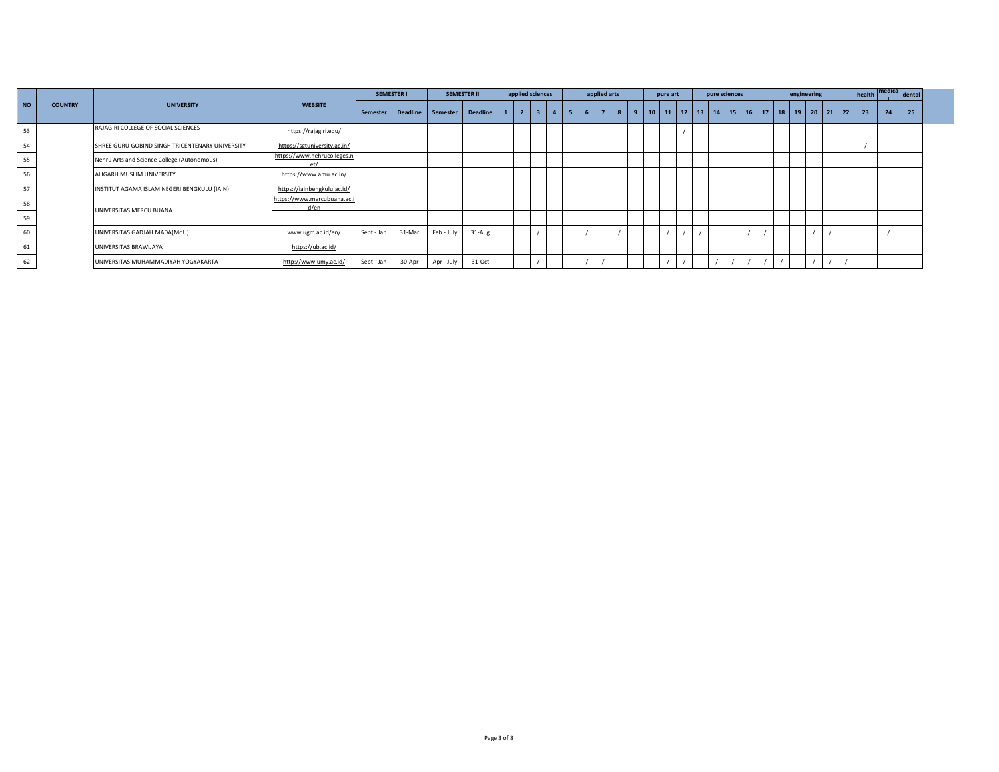|    |                |                                                 |                                     |            | <b>SEMESTER I</b> |            | <b>SEMESTER II</b> | applied sciences |              |    | applied arts   |                | pure art                                                  |  | pure sciences |  | engineering |  |     | health | medica | dental |  |
|----|----------------|-------------------------------------------------|-------------------------------------|------------|-------------------|------------|--------------------|------------------|--------------|----|----------------|----------------|-----------------------------------------------------------|--|---------------|--|-------------|--|-----|--------|--------|--------|--|
| NO | <b>COUNTRY</b> | <b>UNIVERSITY</b>                               | <b>WEBSITE</b>                      | Semester   | <b>Deadline</b>   | Semester   | <b>Deadline</b>    | $\overline{2}$   | $\mathbf{A}$ | -5 | $\overline{7}$ | $\overline{9}$ | 10   11   12   13   14   15   16   17   18   19   20   21 |  |               |  |             |  | 122 | 23     | 24     | 25     |  |
| 53 |                | RAJAGIRI COLLEGE OF SOCIAL SCIENCES             | https://rajagiri.edu/               |            |                   |            |                    |                  |              |    |                |                |                                                           |  |               |  |             |  |     |        |        |        |  |
| 54 |                | SHREE GURU GOBIND SINGH TRICENTENARY UNIVERSITY | https://sgtuniversity.ac.in/        |            |                   |            |                    |                  |              |    |                |                |                                                           |  |               |  |             |  |     |        |        |        |  |
| 55 |                | Nehru Arts and Science College (Autonomous)     | https://www.nehrucolleges.n<br>at   |            |                   |            |                    |                  |              |    |                |                |                                                           |  |               |  |             |  |     |        |        |        |  |
| 56 |                | ALIGARH MUSLIM UNIVERSITY                       | https://www.amu.ac.in/              |            |                   |            |                    |                  |              |    |                |                |                                                           |  |               |  |             |  |     |        |        |        |  |
| 57 |                | INSTITUT AGAMA ISLAM NEGERI BENGKULU (IAIN)     | https://iainbengkulu.ac.id/         |            |                   |            |                    |                  |              |    |                |                |                                                           |  |               |  |             |  |     |        |        |        |  |
| 58 |                | UNIVERSITAS MERCU BUANA                         | https://www.mercubuana.ac.i<br>d/en |            |                   |            |                    |                  |              |    |                |                |                                                           |  |               |  |             |  |     |        |        |        |  |
| 59 |                |                                                 |                                     |            |                   |            |                    |                  |              |    |                |                |                                                           |  |               |  |             |  |     |        |        |        |  |
| 60 |                | UNIVERSITAS GADJAH MADA(MoU)                    | www.ugm.ac.id/en/                   | Sept - Jan | 31-Mar            | Feb - July | 31-Aug             |                  |              |    |                |                |                                                           |  |               |  |             |  |     |        |        |        |  |
| 61 |                | UNIVERSITAS BRAWIJAYA                           | https://ub.ac.id/                   |            |                   |            |                    |                  |              |    |                |                |                                                           |  |               |  |             |  |     |        |        |        |  |
| 62 |                | UNIVERSITAS MUHAMMADIYAH YOGYAKARTA             | http://www.umy.ac.id/               | Sept - Jan | 30-Apr            | Apr - July | 31-Oct             |                  |              |    |                |                |                                                           |  |               |  |             |  |     |        |        |        |  |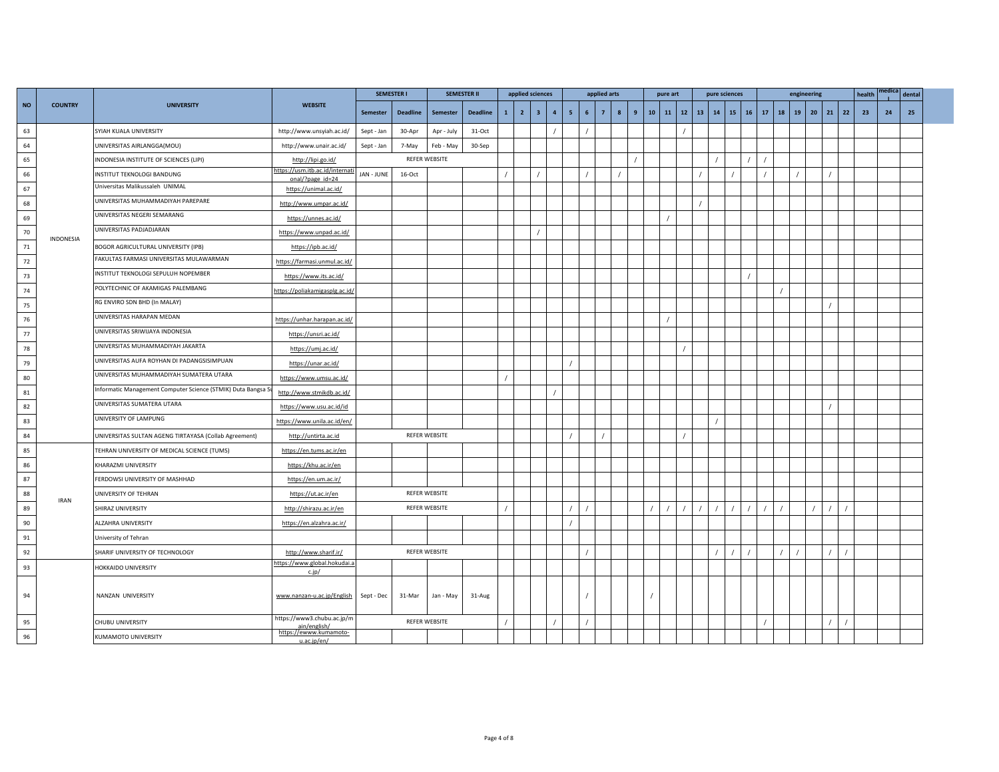|               |                |                                                               |                                                     | <b>SEMESTER I</b> |                 |                      | <b>SEMESTER II</b> |              | applied sciences |                |                |                |                 | applied arts   |   |   |         | pure art     |    | pure sciences |               |          |    | engineering  |              |          | health |    | dental |  |
|---------------|----------------|---------------------------------------------------------------|-----------------------------------------------------|-------------------|-----------------|----------------------|--------------------|--------------|------------------|----------------|----------------|----------------|-----------------|----------------|---|---|---------|--------------|----|---------------|---------------|----------|----|--------------|--------------|----------|--------|----|--------|--|
| <b>NO</b>     | <b>COUNTRY</b> | <b>UNIVERSITY</b>                                             | <b>WEBSITE</b>                                      | Semester          | <b>Deadline</b> | Semester             | <b>Deadline</b>    | $\mathbf{1}$ | $\overline{2}$   | 3 <sup>1</sup> | $\overline{4}$ | 5 <sup>1</sup> | $6\overline{6}$ | $\overline{7}$ | 8 | 9 | $10-10$ | $11 \mid 12$ | 13 |               | $14$ 15 16 17 |          | 18 | $19 \mid 20$ | $21 \mid 22$ |          | 23     | 24 | 25     |  |
| 63            |                | SYIAH KUALA UNIVERSITY                                        | http://www.unsyiah.ac.id/                           | Sept - Jan        | 30-Apr          | Apr - July           | 31-Oct             |              |                  |                |                |                |                 |                |   |   |         |              |    |               |               |          |    |              |              |          |        |    |        |  |
| 64            |                | UNIVERSITAS AIRLANGGA(MOU)                                    | http://www.unair.ac.id/                             | Sept - Jan        | 7-May           | Feb - May            | 30-Sep             |              |                  |                |                |                |                 |                |   |   |         |              |    |               |               |          |    |              |              |          |        |    |        |  |
| 65            |                | INDONESIA INSTITUTE OF SCIENCES (LIPI)                        | http://lipi.go.id/                                  |                   |                 | REFER WEBSITE        |                    |              |                  |                |                |                |                 |                |   |   |         |              |    |               |               |          |    |              |              |          |        |    |        |  |
| 66            |                | INSTITUT TEKNOLOGI BANDUNG                                    | https://usm.itb.ac.id/internati<br>onal/?page_id=24 | JAN - JUNE        | 16-Oct          |                      |                    |              |                  |                |                |                |                 |                |   |   |         |              |    |               |               |          |    |              |              |          |        |    |        |  |
| 67            |                | Universitas Malikussaleh UNIMAL                               | https://unimal.ac.id/                               |                   |                 |                      |                    |              |                  |                |                |                |                 |                |   |   |         |              |    |               |               |          |    |              |              |          |        |    |        |  |
| 68            |                | UNIVERSITAS MUHAMMADIYAH PAREPARE                             | http://www.umpar.ac.id/                             |                   |                 |                      |                    |              |                  |                |                |                |                 |                |   |   |         |              |    |               |               |          |    |              |              |          |        |    |        |  |
| 69            |                | UNIVERSITAS NEGERI SEMARANG                                   | https://unnes.ac.id/                                |                   |                 |                      |                    |              |                  |                |                |                |                 |                |   |   |         |              |    |               |               |          |    |              |              |          |        |    |        |  |
| 70            |                | UNIVERSITAS PADJADJARAN                                       | https://www.unpad.ac.id/                            |                   |                 |                      |                    |              |                  |                |                |                |                 |                |   |   |         |              |    |               |               |          |    |              |              |          |        |    |        |  |
| 71            | INDONESIA      | BOGOR AGRICULTURAL UNIVERSITY (IPB)                           | https://ipb.ac.id/                                  |                   |                 |                      |                    |              |                  |                |                |                |                 |                |   |   |         |              |    |               |               |          |    |              |              |          |        |    |        |  |
| 72            |                | FAKULTAS FARMASI UNIVERSITAS MULAWARMAN                       | https://farmasi.unmul.ac.id/                        |                   |                 |                      |                    |              |                  |                |                |                |                 |                |   |   |         |              |    |               |               |          |    |              |              |          |        |    |        |  |
| 73            |                | INSTITUT TEKNOLOGI SEPULUH NOPEMBER                           | https://www.its.ac.id/                              |                   |                 |                      |                    |              |                  |                |                |                |                 |                |   |   |         |              |    |               |               |          |    |              |              |          |        |    |        |  |
| $74\,$        |                | POLYTECHNIC OF AKAMIGAS PALEMBANG                             | https://poliakamigasplg.ac.id/                      |                   |                 |                      |                    |              |                  |                |                |                |                 |                |   |   |         |              |    |               |               |          |    |              |              |          |        |    |        |  |
| 75            |                | RG ENVIRO SDN BHD (In MALAY)                                  |                                                     |                   |                 |                      |                    |              |                  |                |                |                |                 |                |   |   |         |              |    |               |               |          |    |              |              |          |        |    |        |  |
| 76            |                | UNIVERSITAS HARAPAN MEDAN                                     | https://unhar.harapan.ac.id/                        |                   |                 |                      |                    |              |                  |                |                |                |                 |                |   |   |         |              |    |               |               |          |    |              |              |          |        |    |        |  |
| $77$          |                | UNIVERSITAS SRIWIJAYA INDONESIA                               | https://unsri.ac.id/                                |                   |                 |                      |                    |              |                  |                |                |                |                 |                |   |   |         |              |    |               |               |          |    |              |              |          |        |    |        |  |
| 78            |                | UNIVERSITAS MUHAMMADIYAH JAKARTA                              | https://umj.ac.id/                                  |                   |                 |                      |                    |              |                  |                |                |                |                 |                |   |   |         |              |    |               |               |          |    |              |              |          |        |    |        |  |
| 79            |                | UNIVERSITAS AUFA ROYHAN DI PADANGSISIMPUAN                    | https://unar.ac.id/                                 |                   |                 |                      |                    |              |                  |                |                |                |                 |                |   |   |         |              |    |               |               |          |    |              |              |          |        |    |        |  |
| 80            |                | UNIVERSITAS MUHAMMADIYAH SUMATERA UTARA                       | https://www.umsu.ac.id/                             |                   |                 |                      |                    |              |                  |                |                |                |                 |                |   |   |         |              |    |               |               |          |    |              |              |          |        |    |        |  |
| 81            |                | Informatic Management Computer Science (STMIK) Duta Bangsa Su | http://www.stmikdb.ac.id/                           |                   |                 |                      |                    |              |                  |                |                |                |                 |                |   |   |         |              |    |               |               |          |    |              |              |          |        |    |        |  |
| 82            |                | UNIVERSITAS SUMATERA UTARA                                    | https://www.usu.ac.id/id                            |                   |                 |                      |                    |              |                  |                |                |                |                 |                |   |   |         |              |    |               |               |          |    |              |              |          |        |    |        |  |
| 83            |                | UNIVERSITY OF LAMPUNG                                         | https://www.unila.ac.id/en/                         |                   |                 |                      |                    |              |                  |                |                |                |                 |                |   |   |         |              |    |               |               |          |    |              |              |          |        |    |        |  |
| 84            |                | UNIVERSITAS SULTAN AGENG TIRTAYASA (Collab Agreement)         | http://untirta.ac.id                                |                   |                 | REFER WEBSITE        |                    |              |                  |                |                |                |                 |                |   |   |         |              |    |               |               |          |    |              |              |          |        |    |        |  |
| 85            |                | TEHRAN UNIVERSITY OF MEDICAL SCIENCE (TUMS)                   | https://en.tums.ac.ir/en                            |                   |                 |                      |                    |              |                  |                |                |                |                 |                |   |   |         |              |    |               |               |          |    |              |              |          |        |    |        |  |
| 86            |                | KHARAZMI UNIVERSITY                                           | https://khu.ac.ir/en                                |                   |                 |                      |                    |              |                  |                |                |                |                 |                |   |   |         |              |    |               |               |          |    |              |              |          |        |    |        |  |
| $87\,$        |                | FERDOWSI UNIVERSITY OF MASHHAD                                | https://en.um.ac.ir/                                |                   |                 |                      |                    |              |                  |                |                |                |                 |                |   |   |         |              |    |               |               |          |    |              |              |          |        |    |        |  |
| 88            | <b>IRAN</b>    | UNIVERSITY OF TEHRAN                                          | https://ut.ac.ir/en                                 |                   |                 | REFER WEBSITE        |                    |              |                  |                |                |                |                 |                |   |   |         |              |    |               |               |          |    |              |              |          |        |    |        |  |
| 89            |                | SHIRAZ UNIVERSITY                                             | http://shirazu.ac.ir/en                             |                   |                 | REFER WEBSITE        |                    |              |                  |                |                |                |                 |                |   |   |         |              |    |               |               |          |    |              |              |          |        |    |        |  |
| $90\,$        |                | ALZAHRA UNIVERSITY                                            | https://en.alzahra.ac.ir/                           |                   |                 |                      |                    |              |                  |                |                |                |                 |                |   |   |         |              |    |               |               |          |    |              |              |          |        |    |        |  |
| $\mathsf{91}$ |                | University of Tehran                                          |                                                     |                   |                 |                      |                    |              |                  |                |                |                |                 |                |   |   |         |              |    |               |               |          |    |              |              |          |        |    |        |  |
| 92            |                | SHARIF UNIVERSITY OF TECHNOLOGY                               | http://www.sharif.ir/                               |                   |                 | <b>REFER WEBSITE</b> |                    |              |                  |                |                |                |                 |                |   |   |         |              |    |               |               |          |    |              |              |          |        |    |        |  |
| 93            |                | <b>HOKKAIDO UNIVERSITY</b>                                    | https://www.global.hokudai.a<br>c.jp/               |                   |                 |                      |                    |              |                  |                |                |                |                 |                |   |   |         |              |    |               |               |          |    |              |              |          |        |    |        |  |
| 94            |                | NANZAN UNIVERSITY                                             | www.nanzan-u.ac.jp/English                          | Sept - Dec        | 31-Mar          | Jan - May            | 31-Aug             |              |                  |                |                |                |                 |                |   |   |         |              |    |               |               |          |    |              |              |          |        |    |        |  |
| 95            |                | CHUBU UNIVERSITY                                              | https://www3.chubu.ac.jp/m                          |                   |                 | REFER WEBSITE        |                    |              |                  |                | $\prime$       |                |                 |                |   |   |         |              |    |               |               | $\prime$ |    |              |              | $\prime$ |        |    |        |  |
| 96            |                | KUMAMOTO UNIVERSITY                                           | https://ewww.kumamoto-<br>u.ac.ip/en/               |                   |                 |                      |                    |              |                  |                |                |                |                 |                |   |   |         |              |    |               |               |          |    |              |              |          |        |    |        |  |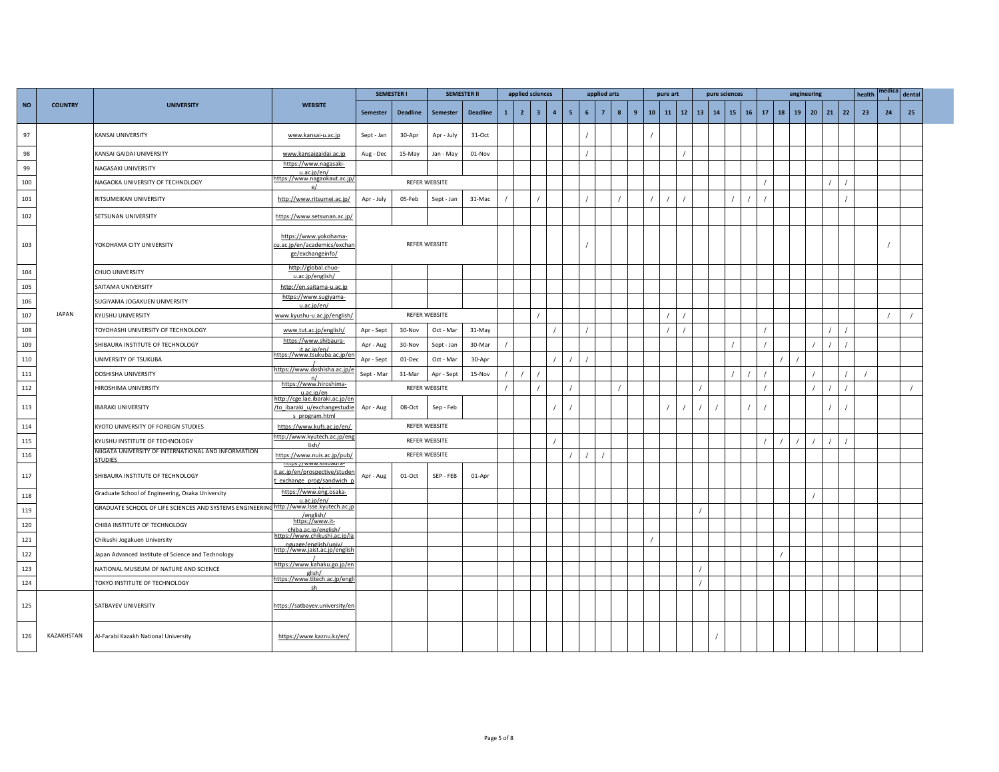|           |                |                                                          |                                                                                   | <b>SEMESTER I</b> |                 |                      | <b>SEMESTER II</b> |              | applied sciences |                |                |                |   | applied arts   |   |                | pure art      |    |    | pure sciences |              |    |    | engineering |              |    | health | edica | dental |
|-----------|----------------|----------------------------------------------------------|-----------------------------------------------------------------------------------|-------------------|-----------------|----------------------|--------------------|--------------|------------------|----------------|----------------|----------------|---|----------------|---|----------------|---------------|----|----|---------------|--------------|----|----|-------------|--------------|----|--------|-------|--------|
| <b>NO</b> | <b>COUNTRY</b> | <b>UNIVERSITY</b>                                        | <b>WEBSITE</b>                                                                    | <b>Semester</b>   | <b>Deadline</b> | <b>Semester</b>      | <b>Deadline</b>    | $\mathbf{1}$ | 2 <sup>7</sup>   | 3 <sup>1</sup> | $\overline{4}$ | 5 <sub>1</sub> | 6 | 7 <sup>7</sup> | 8 | $\overline{9}$ | $10-10$<br>11 | 12 | 13 | 14            | $15 \mid 16$ | 17 | 18 | 19          | $20 \mid 21$ | 22 | 23     | 24    | 25     |
| 97        |                | KANSAI UNIVERSITY                                        | www.kansai-u.ac.jp                                                                | Sept - Jan        | 30-Apr          | Apr - July           | 31-Oct             |              |                  |                |                |                |   |                |   |                |               |    |    |               |              |    |    |             |              |    |        |       |        |
| 98        |                | KANSAI GAIDAI UNIVERSITY                                 | www.kansaigaidai.ac.jp                                                            | Aug - Dec         | 15-May          | Jan - May            | 01-Nov             |              |                  |                |                |                |   |                |   |                |               |    |    |               |              |    |    |             |              |    |        |       |        |
| 99        |                | NAGASAKI UNIVERSITY                                      | https://www.nagasaki-<br>u.ac.ip/en/                                              |                   |                 |                      |                    |              |                  |                |                |                |   |                |   |                |               |    |    |               |              |    |    |             |              |    |        |       |        |
| 100       |                | NAGAOKA UNIVERSITY OF TECHNOLOGY                         | https://www.nagaokaut.ac.jp/                                                      |                   |                 | <b>REFER WEBSITE</b> |                    |              |                  |                |                |                |   |                |   |                |               |    |    |               |              |    |    |             |              |    |        |       |        |
| 101       |                | RITSUMEIKAN UNIVERSITY                                   | http://www.ritsumei.ac.jp/                                                        | Apr - July        | 05-Feb          | Sept - Jan           | 31-Mac             |              |                  |                |                |                |   |                |   |                |               |    |    |               |              |    |    |             |              |    |        |       |        |
| 102       |                | SETSUNAN UNIVERSITY                                      | https://www.setsunan.ac.jp/                                                       |                   |                 |                      |                    |              |                  |                |                |                |   |                |   |                |               |    |    |               |              |    |    |             |              |    |        |       |        |
| 103       |                | YOKOHAMA CITY UNIVERSITY                                 | https://www.yokohama-<br>cu.ac.jp/en/academics/exchan<br>ge/exchangeinfo/         |                   |                 | <b>REFER WEBSITE</b> |                    |              |                  |                |                |                |   |                |   |                |               |    |    |               |              |    |    |             |              |    |        |       |        |
| 104       |                | CHUO UNIVERSITY                                          | http://global.chuo-<br>u.ac.ip/english/                                           |                   |                 |                      |                    |              |                  |                |                |                |   |                |   |                |               |    |    |               |              |    |    |             |              |    |        |       |        |
| 105       |                | SAITAMA UNIVERSITY                                       | http://en.saitama-u.ac.jp                                                         |                   |                 |                      |                    |              |                  |                |                |                |   |                |   |                |               |    |    |               |              |    |    |             |              |    |        |       |        |
| 106       |                | SUGIYAMA JOGAKUEN UNIVERSITY                             | https://www.sugiyama-<br>u.ac.ip/en/                                              |                   |                 |                      |                    |              |                  |                |                |                |   |                |   |                |               |    |    |               |              |    |    |             |              |    |        |       |        |
| 107       | <b>JAPAN</b>   | KYUSHU UNIVERSITY                                        | www.kyushu-u.ac.jp/english/                                                       |                   |                 | REFER WEBSITE        |                    |              |                  |                |                |                |   |                |   |                |               |    |    |               |              |    |    |             |              |    |        |       |        |
| 108       |                | TOYOHASHI UNIVERSITY OF TECHNOLOGY                       | www.tut.ac.jp/english/                                                            | Apr - Sept        | 30-Nov          | Oct - Mar            | 31-May             |              |                  |                |                |                |   |                |   |                |               |    |    |               |              |    |    |             |              |    |        |       |        |
| 109       |                | SHIBAURA INSTITUTE OF TECHNOLOGY                         | https://www.shibaura-<br>it ac in/en/                                             | Apr - Aug         | 30-Nov          | Sept - Jan           | 30-Mar             |              |                  |                |                |                |   |                |   |                |               |    |    |               |              |    |    |             |              |    |        |       |        |
| 110       |                | UNIVERSITY OF TSUKUBA                                    | https://www.tsukuba.ac.jp/er                                                      | Apr - Sept        | 01-Dec          | Oct - Mar            | 30-Apr             |              |                  |                |                |                |   |                |   |                |               |    |    |               |              |    |    |             |              |    |        |       |        |
| 111       |                | DOSHISHA UNIVERSITY                                      | https://www.doshisha.ac.jp/                                                       | Sept - Mar        | 31-Mar          | Apr - Sept           | 15-Nov             |              |                  |                |                |                |   |                |   |                |               |    |    |               |              |    |    |             |              |    |        |       |        |
| 112       |                | HIROSHIMA UNIVERSITY                                     | https://www.hiroshima-<br>u.ac.ip/en                                              |                   |                 | REFER WEBSITE        |                    |              |                  |                |                |                |   |                |   |                |               |    |    |               |              |    |    |             |              |    |        |       |        |
| 113       |                | <b>IBARAKI UNIVERSITY</b>                                | http://cge.lae.ibaraki.ac.jp/er<br>/to_ibaraki_u/exchangestudie<br>s program.html | Apr - Aug         | 08-Oct          | Sep - Feb            |                    |              |                  |                |                |                |   |                |   |                |               |    |    |               |              |    |    |             |              |    |        |       |        |
| 114       |                | KYOTO UNIVERSITY OF FOREIGN STUDIES                      | https://www.kufs.ac.jp/en/                                                        |                   |                 | REFER WEBSITE        |                    |              |                  |                |                |                |   |                |   |                |               |    |    |               |              |    |    |             |              |    |        |       |        |
| 115       |                | KYUSHU INSTITUTE OF TECHNOLOGY                           | http://www.kyutech.ac.jp/eng                                                      |                   |                 | REFER WEBSITE        |                    |              |                  |                |                |                |   |                |   |                |               |    |    |               |              |    |    |             |              |    |        |       |        |
| 116       |                | NIIGATA UNIVERSITY OF INTERNATIONAL AND INFORMATION      | lish/<br>https://www.nuis.ac.jp/pub/                                              |                   |                 | REFER WEBSITE        |                    |              |                  |                |                |                |   |                |   |                |               |    |    |               |              |    |    |             |              |    |        |       |        |
| 117       |                | STUDIES<br>SHIBAURA INSTITUTE OF TECHNOLOGY              | mups.77<br>t.ac.jp/en/prospective/studen<br>exchange_prog/sandwich_p              | Apr - Aug         | 01-Oct          | SEP - FEB            | 01-Apr             |              |                  |                |                |                |   |                |   |                |               |    |    |               |              |    |    |             |              |    |        |       |        |
| 118       |                | Graduate School of Engineering, Osaka University         | https://www.eng.osaka-                                                            |                   |                 |                      |                    |              |                  |                |                |                |   |                |   |                |               |    |    |               |              |    |    |             |              |    |        |       |        |
| 119       |                | GRADUATE SCHOOL OF LIFE SCIENCES AND SYSTEMS ENGINEERING | http://www.lsse.kyutech.ac.jp<br>/english/                                        |                   |                 |                      |                    |              |                  |                |                |                |   |                |   |                |               |    |    |               |              |    |    |             |              |    |        |       |        |
| 120       |                | CHIBA INSTITUTE OF TECHNOLOGY                            | https://www.it-<br>chiba.ac.ip/english/                                           |                   |                 |                      |                    |              |                  |                |                |                |   |                |   |                |               |    |    |               |              |    |    |             |              |    |        |       |        |
| 121       |                | Chikushi Jogakuen University                             | https://www.chikushi.ac.jp/la                                                     |                   |                 |                      |                    |              |                  |                |                |                |   |                |   |                |               |    |    |               |              |    |    |             |              |    |        |       |        |
| 122       |                | Japan Advanced Institute of Science and Technology       | nguage/english/univ/<br>http://www.jaist.ac.jp/english                            |                   |                 |                      |                    |              |                  |                |                |                |   |                |   |                |               |    |    |               |              |    |    |             |              |    |        |       |        |
| 123       |                | NATIONAL MUSEUM OF NATURE AND SCIENCE                    | https://www.kahaku.go.jp/en                                                       |                   |                 |                      |                    |              |                  |                |                |                |   |                |   |                |               |    |    |               |              |    |    |             |              |    |        |       |        |
| 124       |                | TOKYO INSTITUTE OF TECHNOLOGY                            | elish/<br>https://www.titech.ac.jp/engli                                          |                   |                 |                      |                    |              |                  |                |                |                |   |                |   |                |               |    |    |               |              |    |    |             |              |    |        |       |        |
| 125       |                | SATBAYEV UNIVERSITY                                      | https://satbayev.university/en                                                    |                   |                 |                      |                    |              |                  |                |                |                |   |                |   |                |               |    |    |               |              |    |    |             |              |    |        |       |        |
| 126       | KAZAKHSTAN     | Al-Farabi Kazakh National University                     | https://www.kaznu.kz/en/                                                          |                   |                 |                      |                    |              |                  |                |                |                |   |                |   |                |               |    |    |               |              |    |    |             |              |    |        |       |        |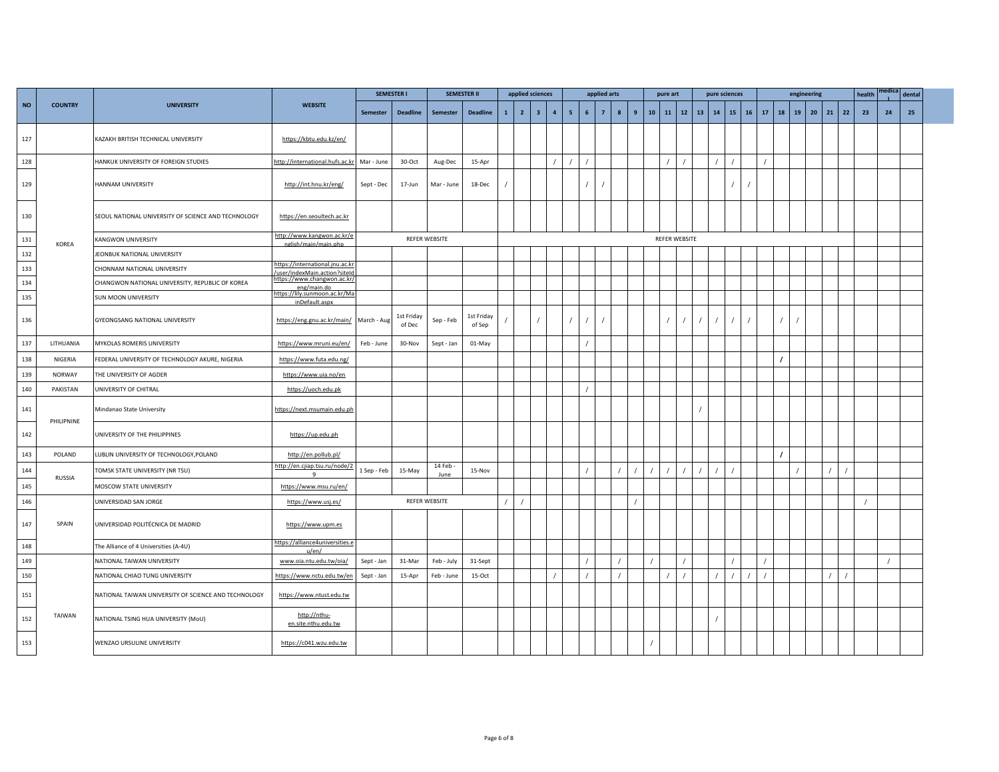|           |                |                                                      |                                                                |             | <b>SEMESTER I</b>    |                | <b>SEMESTER II</b>   |              | applied sciences |                |                |                |                | applied arts   |                       |                 | pure art |                   |    |    | pure sciences |    |    |          | engineering |          |    | health | medica | dental |  |
|-----------|----------------|------------------------------------------------------|----------------------------------------------------------------|-------------|----------------------|----------------|----------------------|--------------|------------------|----------------|----------------|----------------|----------------|----------------|-----------------------|-----------------|----------|-------------------|----|----|---------------|----|----|----------|-------------|----------|----|--------|--------|--------|--|
| <b>NO</b> | <b>COUNTRY</b> | <b>UNIVERSITY</b>                                    | <b>WEBSITE</b>                                                 | Semester    | <b>Deadline</b>      | Semester       | <b>Deadline</b>      | $\mathbf{1}$ | $\overline{2}$   | 3 <sup>7</sup> | $\overline{4}$ | 5 <sub>1</sub> | 6 <sup>1</sup> | $\overline{7}$ | $\boldsymbol{8}$<br>9 | 10 <sub>1</sub> |          | $11 \mid 12 \mid$ | 13 | 14 | 15            | 16 | 17 | 18       | 19          | 20<br>21 | 22 | 23     | 24     | 25     |  |
| 127       |                | KAZAKH BRITISH TECHNICAL UNIVERSITY                  | https://kbtu.edu.kz/en/                                        |             |                      |                |                      |              |                  |                |                |                |                |                |                       |                 |          |                   |    |    |               |    |    |          |             |          |    |        |        |        |  |
| 128       |                | HANKUK UNIVERSITY OF FOREIGN STUDIES                 | http://international.hufs.ac.kr                                | Mar - June  | 30-Oct               | Aug-Dec        | 15-Apr               |              |                  |                |                |                |                |                |                       |                 |          |                   |    |    |               |    |    |          |             |          |    |        |        |        |  |
| 129       |                | HANNAM UNIVERSITY                                    | http://int.hnu.kr/eng/                                         | Sept - Dec  | 17-Jun               | Mar - June     | 18-Dec               |              |                  |                |                |                |                |                |                       |                 |          |                   |    |    |               |    |    |          |             |          |    |        |        |        |  |
| 130       |                | SEOUL NATIONAL UNIVERSITY OF SCIENCE AND TECHNOLOGY  | https://en.seoultech.ac.kr                                     |             |                      |                |                      |              |                  |                |                |                |                |                |                       |                 |          |                   |    |    |               |    |    |          |             |          |    |        |        |        |  |
| 131       | KOREA          | KANGWON UNIVERSITY                                   | http://www.kangwon.ac.kr/e<br>nglish/main/main.php             |             |                      | REFER WEBSITE  |                      |              |                  |                |                |                |                |                |                       |                 |          | REFER WEBSITE     |    |    |               |    |    |          |             |          |    |        |        |        |  |
| 132       |                | JEONBUK NATIONAL UNIVERSITY                          |                                                                |             |                      |                |                      |              |                  |                |                |                |                |                |                       |                 |          |                   |    |    |               |    |    |          |             |          |    |        |        |        |  |
| 133       |                | CHONNAM NATIONAL UNIVERSITY                          | https://international.jnu.ac.k<br>user/indexMain.action?site   |             |                      |                |                      |              |                  |                |                |                |                |                |                       |                 |          |                   |    |    |               |    |    |          |             |          |    |        |        |        |  |
| 134       |                | CHANGWON NATIONAL UNIVERSITY, REPUBLIC OF KOREA      | https://www.changwon.ac.kr/                                    |             |                      |                |                      |              |                  |                |                |                |                |                |                       |                 |          |                   |    |    |               |    |    |          |             |          |    |        |        |        |  |
| 135       |                | SUN MOON UNIVERSITY                                  | eng/main.do<br>https://lily.sunmoon.ac.kr/Ma<br>inDefault.aspx |             |                      |                |                      |              |                  |                |                |                |                |                |                       |                 |          |                   |    |    |               |    |    |          |             |          |    |        |        |        |  |
| 136       |                | GYEONGSANG NATIONAL UNIVERSITY                       | https://eng.gnu.ac.kr/main/ March - Aug                        |             | 1st Friday<br>of Dec | Sep - Feb      | 1st Friday<br>of Sep |              |                  |                |                |                |                |                |                       |                 |          |                   |    |    |               |    |    |          |             |          |    |        |        |        |  |
| 137       | LITHUANIA      | MYKOLAS ROMERIS UNIVERSITY                           | https://www.mruni.eu/en/                                       | Feb - June  | 30-Nov               | Sept - Jan     | 01-May               |              |                  |                |                |                |                |                |                       |                 |          |                   |    |    |               |    |    |          |             |          |    |        |        |        |  |
| 138       | NIGERIA        | FEDERAL UNIVERSITY OF TECHNOLOGY AKURE, NIGERIA      | https://www.futa.edu.ng/                                       |             |                      |                |                      |              |                  |                |                |                |                |                |                       |                 |          |                   |    |    |               |    |    | $\prime$ |             |          |    |        |        |        |  |
| 139       | <b>NORWAY</b>  | THE UNIVERSITY OF AGDER                              | https://www.uia.no/en                                          |             |                      |                |                      |              |                  |                |                |                |                |                |                       |                 |          |                   |    |    |               |    |    |          |             |          |    |        |        |        |  |
| 140       | PAKISTAN       | UNIVERSITY OF CHITRAL                                | https://uoch.edu.pk                                            |             |                      |                |                      |              |                  |                |                |                |                |                |                       |                 |          |                   |    |    |               |    |    |          |             |          |    |        |        |        |  |
| 141       | PHILIPNINE     | Mindanao State University                            | https://next.msumain.edu.ph                                    |             |                      |                |                      |              |                  |                |                |                |                |                |                       |                 |          |                   |    |    |               |    |    |          |             |          |    |        |        |        |  |
| 142       |                | UNIVERSITY OF THE PHILIPPINES                        | https://up.edu.ph                                              |             |                      |                |                      |              |                  |                |                |                |                |                |                       |                 |          |                   |    |    |               |    |    |          |             |          |    |        |        |        |  |
| 143       | POLAND         | LUBLIN UNIVERSITY OF TECHNOLOGY, POLAND              | http://en.pollub.pl/                                           |             |                      |                |                      |              |                  |                |                |                |                |                |                       |                 |          |                   |    |    |               |    |    | $\prime$ |             |          |    |        |        |        |  |
| 144       |                | TOMSK STATE UNIVERSITY (NR TSU)                      | http://en.cjiap.tsu.ru/node/2                                  | 1 Sep - Feb | 15-May               | 14 Feb<br>June | 15-Nov               |              |                  |                |                |                |                |                |                       |                 |          |                   |    |    |               |    |    |          |             |          |    |        |        |        |  |
| 145       | RUSSIA         | MOSCOW STATE UNIVERSITY                              | https://www.msu.ru/en/                                         |             |                      |                |                      |              |                  |                |                |                |                |                |                       |                 |          |                   |    |    |               |    |    |          |             |          |    |        |        |        |  |
| 146       |                | UNIVERSIDAD SAN JORGE                                | https://www.usj.es/                                            |             |                      | REFER WEBSITE  |                      |              |                  |                |                |                |                |                |                       |                 |          |                   |    |    |               |    |    |          |             |          |    |        |        |        |  |
| 147       | SPAIN          | UNIVERSIDAD POLITÉCNICA DE MADRID                    | https://www.upm.es                                             |             |                      |                |                      |              |                  |                |                |                |                |                |                       |                 |          |                   |    |    |               |    |    |          |             |          |    |        |        |        |  |
| 148       |                | The Alliance of 4 Universities (A-4U)                | https://alliance4universities.e<br>u/en/                       |             |                      |                |                      |              |                  |                |                |                |                |                |                       |                 |          |                   |    |    |               |    |    |          |             |          |    |        |        |        |  |
| 149       |                | NATIONAL TAIWAN UNIVERSITY                           | www.oia.ntu.edu.tw/oia/                                        | Sept - Jan  | 31-Mar               | Feb - July     | 31-Sept              |              |                  |                |                |                |                |                |                       |                 |          |                   |    |    |               |    |    |          |             |          |    |        |        |        |  |
| 150       |                | NATIONAL CHIAO TUNG UNIVERSITY                       | https://www.nctu.edu.tw/en                                     | Sept - Jan  | 15-Apr               | Feb - June     | $15-Oct$             |              |                  |                |                |                |                |                |                       |                 |          |                   |    |    |               |    |    |          |             |          |    |        |        |        |  |
| 151       |                | NATIONAL TAIWAN UNIVERSITY OF SCIENCE AND TECHNOLOGY | https://www.ntust.edu.tw                                       |             |                      |                |                      |              |                  |                |                |                |                |                |                       |                 |          |                   |    |    |               |    |    |          |             |          |    |        |        |        |  |
| 152       | TAIWAN         | NATIONAL TSING HUA UNIVERSITY (MoU)                  | http://nthu-<br>en.site.nthu.edu.tw                            |             |                      |                |                      |              |                  |                |                |                |                |                |                       |                 |          |                   |    |    |               |    |    |          |             |          |    |        |        |        |  |
| 153       |                | WENZAO URSULINE UNIVERSITY                           | https://c041.wzu.edu.tw                                        |             |                      |                |                      |              |                  |                |                |                |                |                |                       |                 |          |                   |    |    |               |    |    |          |             |          |    |        |        |        |  |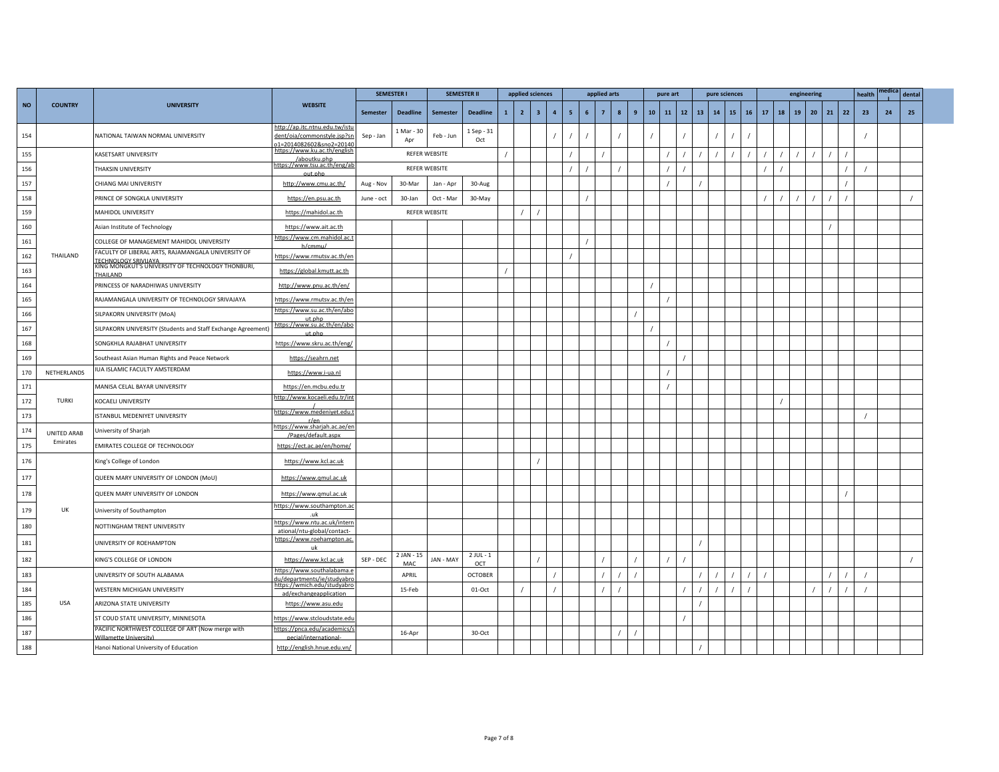|           |                |                                                                            |                                                                                           | <b>SEMESTER I</b> |                   |               | <b>SEMESTER II</b> |              | applied sciences |                |                  |                |    | applied arts    |                       |    | pure art |    |              | pure sciences |    |    |    |    | engineering |    |    |    | health | ıedica | dental |  |
|-----------|----------------|----------------------------------------------------------------------------|-------------------------------------------------------------------------------------------|-------------------|-------------------|---------------|--------------------|--------------|------------------|----------------|------------------|----------------|----|-----------------|-----------------------|----|----------|----|--------------|---------------|----|----|----|----|-------------|----|----|----|--------|--------|--------|--|
| <b>NO</b> | <b>COUNTRY</b> | <b>UNIVERSITY</b>                                                          | <b>WEBSITE</b>                                                                            | Semester          | <b>Deadline</b>   | Semester      | <b>Deadline</b>    | $\mathbf{1}$ | $\overline{2}$   | 3 <sup>2</sup> | $\boldsymbol{4}$ | 5 <sub>1</sub> | -6 | $7\overline{ }$ | 9<br>$\boldsymbol{8}$ | 10 | 11       | 12 | $13 \mid 14$ |               | 15 | 16 | 17 | 18 | 19          | 20 | 21 | 22 | 23     | 24     | 25     |  |
| 154       |                | NATIONAL TAIWAN NORMAL UNIVERSITY                                          | http://ap.itc.ntnu.edu.tw/istu<br>dent/oia/commonstyle.jsp?sn<br>01=2014082602&sno2=20140 | Sep - Jan         | L Mar - 30<br>Apr | Feb - Jun     | 1 Sep - 31<br>Oct  |              |                  |                | $\prime$         |                |    |                 |                       |    |          |    |              |               |    |    |    |    |             |    |    |    |        |        |        |  |
| 155       |                | KASETSART UNIVERSITY                                                       | https://www.ku.ac.th/english<br>/aboutku.php                                              |                   |                   | REFER WEBSITE |                    |              |                  |                |                  |                |    |                 |                       |    |          |    |              |               |    |    |    |    |             |    |    |    |        |        |        |  |
| 156       |                | <b>HAKSIN UNIVERSITY</b>                                                   | https://www.tsu.ac.th/eng/ab<br>out.php                                                   |                   |                   | REFER WEBSITE |                    |              |                  |                |                  |                |    |                 |                       |    |          |    |              |               |    |    |    |    |             |    |    |    |        |        |        |  |
| 157       |                | CHIANG MAI UNIVERISTY                                                      | http://www.cmu.ac.th/                                                                     | Aug - Nov         | 30-Mar            | Jan - Apr     | 30-Aug             |              |                  |                |                  |                |    |                 |                       |    |          |    |              |               |    |    |    |    |             |    |    |    |        |        |        |  |
| 158       |                | PRINCE OF SONGKLA UNIVERSITY                                               | https://en.psu.ac.th                                                                      | June - oct        | 30-Jan            | Oct - Mar     | 30-May             |              |                  |                |                  |                |    |                 |                       |    |          |    |              |               |    |    |    |    |             |    |    |    |        |        |        |  |
| 159       |                | MAHIDOL UNIVERSITY                                                         | https://mahidol.ac.th                                                                     |                   |                   | REFER WEBSITE |                    |              |                  |                |                  |                |    |                 |                       |    |          |    |              |               |    |    |    |    |             |    |    |    |        |        |        |  |
| 160       |                | Asian Institute of Technology                                              | https://www.ait.ac.th                                                                     |                   |                   |               |                    |              |                  |                |                  |                |    |                 |                       |    |          |    |              |               |    |    |    |    |             |    |    |    |        |        |        |  |
| 161       |                | COLLEGE OF MANAGEMENT MAHIDOL UNIVERSITY                                   | https://www.cm.mahidol.ac.t<br>h/cmmu/                                                    |                   |                   |               |                    |              |                  |                |                  |                |    |                 |                       |    |          |    |              |               |    |    |    |    |             |    |    |    |        |        |        |  |
| 162       | THAILAND       | FACULTY OF LIBERAL ARTS, RAJAMANGALA UNIVERSITY OF<br>TECHNOLOGY SRIVIJAYA | nttps://www.rmutsv.ac.th/en                                                               |                   |                   |               |                    |              |                  |                |                  |                |    |                 |                       |    |          |    |              |               |    |    |    |    |             |    |    |    |        |        |        |  |
| 163       |                | KING MONGKUT'S UNIVERSITY OF TECHNOLOGY THONBURI,<br><b>HAILAND</b>        | https://global.kmutt.ac.th                                                                |                   |                   |               |                    |              |                  |                |                  |                |    |                 |                       |    |          |    |              |               |    |    |    |    |             |    |    |    |        |        |        |  |
| 164       |                | PRINCESS OF NARADHIWAS UNIVERSITY                                          | http://www.pnu.ac.th/en/                                                                  |                   |                   |               |                    |              |                  |                |                  |                |    |                 |                       |    |          |    |              |               |    |    |    |    |             |    |    |    |        |        |        |  |
| 165       |                | RAJAMANGALA UNIVERSITY OF TECHNOLOGY SRIVAJAYA                             | https://www.rmutsv.ac.th/en                                                               |                   |                   |               |                    |              |                  |                |                  |                |    |                 |                       |    |          |    |              |               |    |    |    |    |             |    |    |    |        |        |        |  |
| 166       |                | SILPAKORN UNIVERSITY (MoA)                                                 | nttps://www.su.ac.th/en/abo<br>ut.php                                                     |                   |                   |               |                    |              |                  |                |                  |                |    |                 |                       |    |          |    |              |               |    |    |    |    |             |    |    |    |        |        |        |  |
| 167       |                | SILPAKORN UNIVERSITY (Students and Staff Exchange Agreement)               | https://www.su.ac.th/en/abo<br>ut.php                                                     |                   |                   |               |                    |              |                  |                |                  |                |    |                 |                       |    |          |    |              |               |    |    |    |    |             |    |    |    |        |        |        |  |
| 168       |                | SONGKHLA RAJABHAT UNIVERSITY                                               | https://www.skru.ac.th/eng/                                                               |                   |                   |               |                    |              |                  |                |                  |                |    |                 |                       |    |          |    |              |               |    |    |    |    |             |    |    |    |        |        |        |  |
| 169       |                | Southeast Asian Human Rights and Peace Network                             | https://seahrn.net                                                                        |                   |                   |               |                    |              |                  |                |                  |                |    |                 |                       |    |          |    |              |               |    |    |    |    |             |    |    |    |        |        |        |  |
| 170       | NETHERLANDS    | IUA ISLAMIC FACULTY AMSTERDAM                                              | https://www.i-ua.nl                                                                       |                   |                   |               |                    |              |                  |                |                  |                |    |                 |                       |    |          |    |              |               |    |    |    |    |             |    |    |    |        |        |        |  |
| 171       |                | MANISA CELAL BAYAR UNIVERSITY                                              | https://en.mcbu.edu.tr                                                                    |                   |                   |               |                    |              |                  |                |                  |                |    |                 |                       |    | $\prime$ |    |              |               |    |    |    |    |             |    |    |    |        |        |        |  |
| 172       | <b>TURKI</b>   | KOCAELI UNIVERSITY                                                         | nttp://www.kocaeli.edu.tr/int                                                             |                   |                   |               |                    |              |                  |                |                  |                |    |                 |                       |    |          |    |              |               |    |    |    |    |             |    |    |    |        |        |        |  |
| 173       |                | <b>ISTANBUL MEDENIYET UNIVERSITY</b>                                       | https://www.medeniyet.edu.t<br>r/en                                                       |                   |                   |               |                    |              |                  |                |                  |                |    |                 |                       |    |          |    |              |               |    |    |    |    |             |    |    |    |        |        |        |  |
| 174       | UNITED ARAB    | University of Sharjah                                                      | https://www.sharjah.ac.ae/en<br>/Pages/default.aspx                                       |                   |                   |               |                    |              |                  |                |                  |                |    |                 |                       |    |          |    |              |               |    |    |    |    |             |    |    |    |        |        |        |  |
| 175       | Emirates       | EMIRATES COLLEGE OF TECHNOLOGY                                             | https://ect.ac.ae/en/home/                                                                |                   |                   |               |                    |              |                  |                |                  |                |    |                 |                       |    |          |    |              |               |    |    |    |    |             |    |    |    |        |        |        |  |
| 176       |                | King's College of London                                                   | https://www.kcl.ac.uk                                                                     |                   |                   |               |                    |              |                  |                |                  |                |    |                 |                       |    |          |    |              |               |    |    |    |    |             |    |    |    |        |        |        |  |
| 177       |                | QUEEN MARY UNIVERSITY OF LONDON (MoU)                                      | https://www.gmul.ac.uk                                                                    |                   |                   |               |                    |              |                  |                |                  |                |    |                 |                       |    |          |    |              |               |    |    |    |    |             |    |    |    |        |        |        |  |
| 178       |                | QUEEN MARY UNIVERSITY OF LONDON                                            | https://www.qmul.ac.uk                                                                    |                   |                   |               |                    |              |                  |                |                  |                |    |                 |                       |    |          |    |              |               |    |    |    |    |             |    |    |    |        |        |        |  |
| 179       | UK             | University of Southampton                                                  | <u>nttps://www.southampton.ac</u>                                                         |                   |                   |               |                    |              |                  |                |                  |                |    |                 |                       |    |          |    |              |               |    |    |    |    |             |    |    |    |        |        |        |  |
| 180       |                | NOTTINGHAM TRENT UNIVERSITY                                                | .uk<br>https://www.ntu.ac.uk/interr                                                       |                   |                   |               |                    |              |                  |                |                  |                |    |                 |                       |    |          |    |              |               |    |    |    |    |             |    |    |    |        |        |        |  |
|           |                |                                                                            | ational/ntu-global/contact-<br>https://www.roehampton.ac.                                 |                   |                   |               |                    |              |                  |                |                  |                |    |                 |                       |    |          |    |              |               |    |    |    |    |             |    |    |    |        |        |        |  |
| 181       |                | UNIVERSITY OF ROEHAMPTON                                                   | uk                                                                                        |                   | 2 JAN - 15        |               | $2$ JUL - $1$      |              |                  |                |                  |                |    |                 |                       |    |          |    |              |               |    |    |    |    |             |    |    |    |        |        |        |  |
| 182       |                | KING'S COLLEGE OF LONDON                                                   | https://www.kcl.ac.uk                                                                     | SEP - DEC         | MAC               | JAN - MAY     | OCT                |              |                  |                |                  |                |    |                 |                       |    |          |    |              |               |    |    |    |    |             |    |    |    |        |        |        |  |
| 183       |                | UNIVERSITY OF SOUTH ALABAMA                                                | https://www.southalabama.e<br>u/departments/ie/studvabr                                   |                   | APRIL             |               | <b>OCTOBER</b>     |              |                  |                |                  |                |    |                 |                       |    |          |    |              |               |    |    |    |    |             |    |    |    |        |        |        |  |
| 184       |                | WESTERN MICHIGAN UNIVERSITY                                                | https://wmich.edu/studyabro<br>ad/exchangeapplication                                     |                   | 15-Feb            |               | 01-Oct             |              |                  |                |                  |                |    |                 |                       |    |          |    |              |               |    |    |    |    |             |    |    |    |        |        |        |  |
| 185       | USA            | ARIZONA STATE UNIVERSITY                                                   | https://www.asu.edu                                                                       |                   |                   |               |                    |              |                  |                |                  |                |    |                 |                       |    |          |    |              |               |    |    |    |    |             |    |    |    |        |        |        |  |
| 186       |                | ST COUD STATE UNIVERSITY, MINNESOTA                                        | https://www.stcloudstate.edu                                                              |                   |                   |               |                    |              |                  |                |                  |                |    |                 |                       |    |          |    |              |               |    |    |    |    |             |    |    |    |        |        |        |  |
| 187       |                | PACIFIC NORTHWEST COLLEGE OF ART (Now merge with<br>Willamette University) | ://pnca.edu/academics/<br>pecial/international-                                           |                   | 16-Apr            |               | 30-Oct             |              |                  |                |                  |                |    |                 |                       |    |          |    |              |               |    |    |    |    |             |    |    |    |        |        |        |  |
| 188       |                | Hanoi National University of Education                                     | http://english.hnue.edu.vn/                                                               |                   |                   |               |                    |              |                  |                |                  |                |    |                 |                       |    |          |    |              |               |    |    |    |    |             |    |    |    |        |        |        |  |